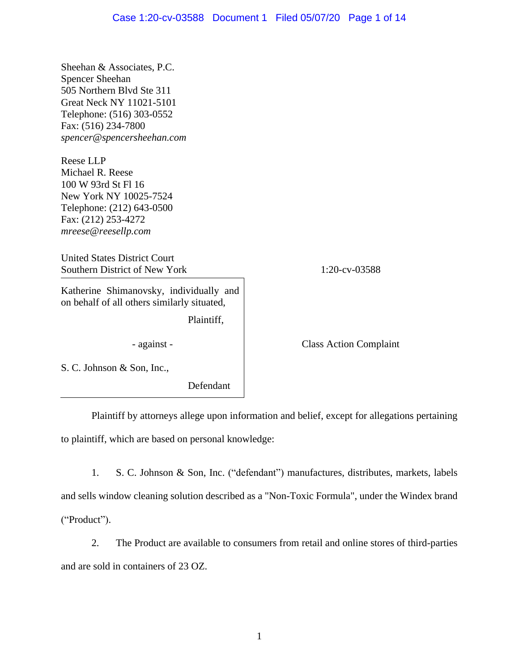Sheehan & Associates, P.C. Spencer Sheehan 505 Northern Blvd Ste 311 Great Neck NY 11021-5101 Telephone: (516) 303-0552 Fax: (516) 234-7800 *spencer@spencersheehan.com*

Reese LLP Michael R. Reese 100 W 93rd St Fl 16 New York NY 10025-7524 Telephone: (212) 643-0500 Fax: (212) 253-4272 *mreese@reesellp.com*

United States District Court Southern District of New York 1:20-cv-03588

Katherine Shimanovsky, individually and on behalf of all others similarly situated,

Plaintiff,

- against - Class Action Complaint

S. C. Johnson & Son, Inc.,

Defendant

Plaintiff by attorneys allege upon information and belief, except for allegations pertaining to plaintiff, which are based on personal knowledge:

1. S. C. Johnson & Son, Inc. ("defendant") manufactures, distributes, markets, labels and sells window cleaning solution described as a "Non-Toxic Formula", under the Windex brand ("Product").

2. The Product are available to consumers from retail and online stores of third-parties and are sold in containers of 23 OZ.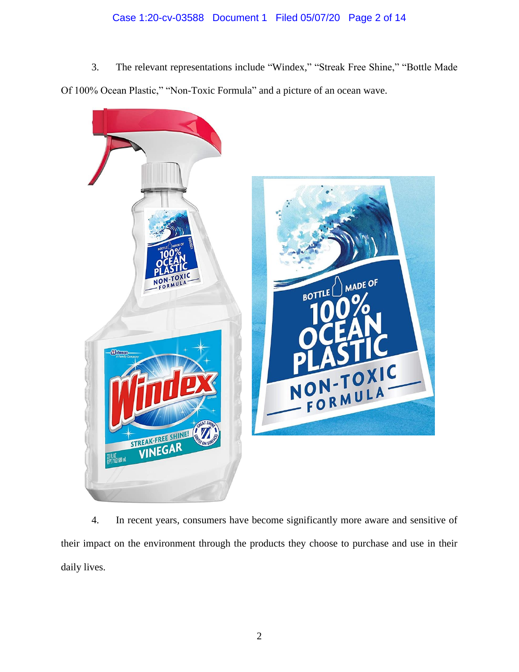# Case 1:20-cv-03588 Document 1 Filed 05/07/20 Page 2 of 14

3. The relevant representations include "Windex," "Streak Free Shine," "Bottle Made Of 100% Ocean Plastic," "Non-Toxic Formula" and a picture of an ocean wave.



4. In recent years, consumers have become significantly more aware and sensitive of their impact on the environment through the products they choose to purchase and use in their daily lives.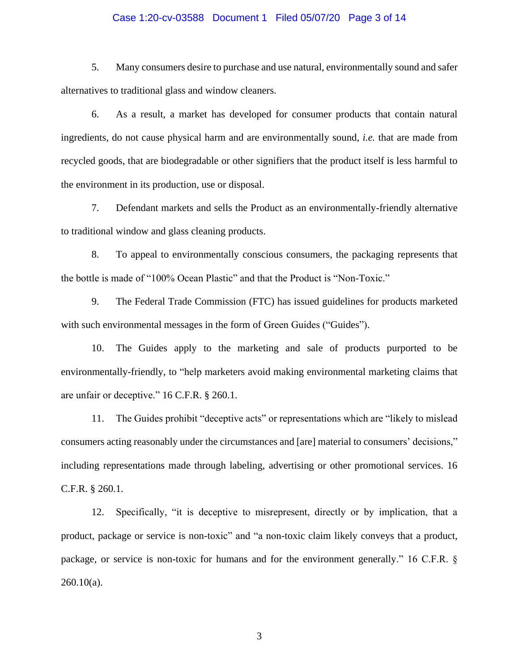### Case 1:20-cv-03588 Document 1 Filed 05/07/20 Page 3 of 14

5. Many consumers desire to purchase and use natural, environmentally sound and safer alternatives to traditional glass and window cleaners.

6. As a result, a market has developed for consumer products that contain natural ingredients, do not cause physical harm and are environmentally sound, *i.e.* that are made from recycled goods, that are biodegradable or other signifiers that the product itself is less harmful to the environment in its production, use or disposal.

7. Defendant markets and sells the Product as an environmentally-friendly alternative to traditional window and glass cleaning products.

8. To appeal to environmentally conscious consumers, the packaging represents that the bottle is made of "100% Ocean Plastic" and that the Product is "Non-Toxic."

9. The Federal Trade Commission (FTC) has issued guidelines for products marketed with such environmental messages in the form of Green Guides ("Guides").

10. The Guides apply to the marketing and sale of products purported to be environmentally-friendly, to "help marketers avoid making environmental marketing claims that are unfair or deceptive." 16 C.F.R. § 260.1.

11. The Guides prohibit "deceptive acts" or representations which are "likely to mislead consumers acting reasonably under the circumstances and [are] material to consumers' decisions," including representations made through labeling, advertising or other promotional services. 16 C.F.R. § 260.1.

12. Specifically, "it is deceptive to misrepresent, directly or by implication, that a product, package or service is non-toxic" and "a non-toxic claim likely conveys that a product, package, or service is non-toxic for humans and for the environment generally." 16 C.F.R. § 260.10(a).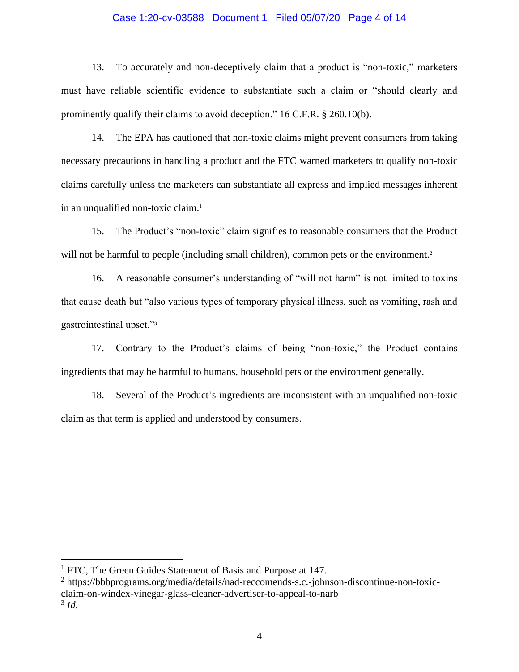### Case 1:20-cv-03588 Document 1 Filed 05/07/20 Page 4 of 14

13. To accurately and non-deceptively claim that a product is "non-toxic," marketers must have reliable scientific evidence to substantiate such a claim or "should clearly and prominently qualify their claims to avoid deception." 16 C.F.R. § 260.10(b).

14. The EPA has cautioned that non-toxic claims might prevent consumers from taking necessary precautions in handling a product and the FTC warned marketers to qualify non-toxic claims carefully unless the marketers can substantiate all express and implied messages inherent in an unqualified non-toxic claim. 1

15. The Product's "non-toxic" claim signifies to reasonable consumers that the Product will not be harmful to people (including small children), common pets or the environment.<sup>2</sup>

16. A reasonable consumer's understanding of "will not harm" is not limited to toxins that cause death but "also various types of temporary physical illness, such as vomiting, rash and gastrointestinal upset."<sup>3</sup>

17. Contrary to the Product's claims of being "non-toxic," the Product contains ingredients that may be harmful to humans, household pets or the environment generally.

18. Several of the Product's ingredients are inconsistent with an unqualified non-toxic claim as that term is applied and understood by consumers.

<sup>&</sup>lt;sup>1</sup> FTC, The Green Guides Statement of Basis and Purpose at 147.

<sup>&</sup>lt;sup>2</sup> https://bbbprograms.org/media/details/nad-reccomends-s.c.-johnson-discontinue-non-toxicclaim-on-windex-vinegar-glass-cleaner-advertiser-to-appeal-to-narb 3 *Id*.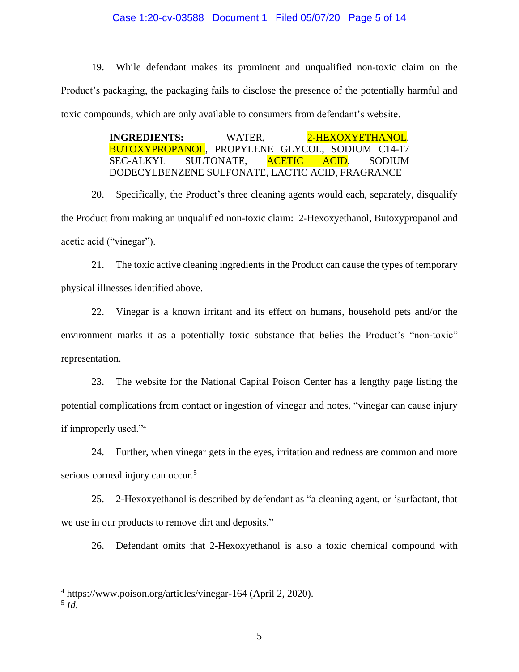## Case 1:20-cv-03588 Document 1 Filed 05/07/20 Page 5 of 14

19. While defendant makes its prominent and unqualified non-toxic claim on the Product's packaging, the packaging fails to disclose the presence of the potentially harmful and toxic compounds, which are only available to consumers from defendant's website.

> **INGREDIENTS:** WATER, 2-HEXOXYETHANOL, BUTOXYPROPANOL, PROPYLENE GLYCOL, SODIUM C14-17 SEC-ALKYL SULTONATE, ACETIC ACID, SODIUM DODECYLBENZENE SULFONATE, LACTIC ACID, FRAGRANCE

20. Specifically, the Product's three cleaning agents would each, separately, disqualify the Product from making an unqualified non-toxic claim: 2-Hexoxyethanol, Butoxypropanol and acetic acid ("vinegar").

21. The toxic active cleaning ingredients in the Product can cause the types of temporary physical illnesses identified above.

22. Vinegar is a known irritant and its effect on humans, household pets and/or the environment marks it as a potentially toxic substance that belies the Product's "non-toxic" representation.

23. The website for the National Capital Poison Center has a lengthy page listing the potential complications from contact or ingestion of vinegar and notes, "vinegar can cause injury if improperly used."<sup>4</sup>

24. Further, when vinegar gets in the eyes, irritation and redness are common and more serious corneal injury can occur.<sup>5</sup>

25. 2-Hexoxyethanol is described by defendant as "a cleaning agent, or 'surfactant, that we use in our products to remove dirt and deposits."

26. Defendant omits that 2-Hexoxyethanol is also a toxic chemical compound with

5 *Id*.

<sup>4</sup> https://www.poison.org/articles/vinegar-164 (April 2, 2020).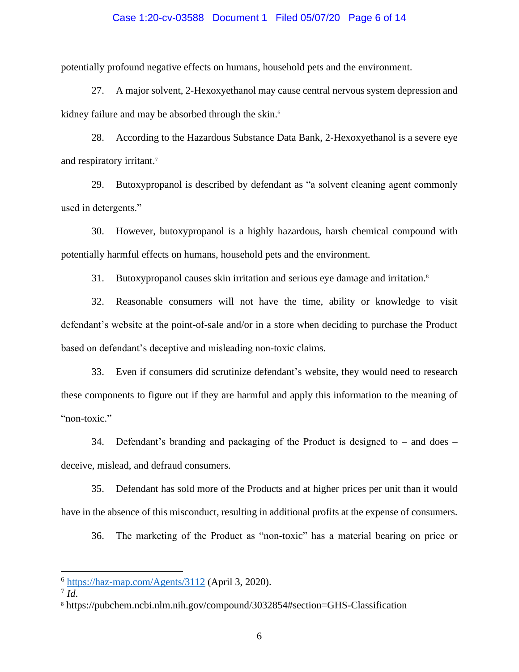### Case 1:20-cv-03588 Document 1 Filed 05/07/20 Page 6 of 14

potentially profound negative effects on humans, household pets and the environment.

27. A major solvent, 2-Hexoxyethanol may cause central nervous system depression and kidney failure and may be absorbed through the skin.<sup>6</sup>

28. According to the Hazardous Substance Data Bank, 2-Hexoxyethanol is a severe eye and respiratory irritant.<sup>7</sup>

29. Butoxypropanol is described by defendant as "a solvent cleaning agent commonly used in detergents."

30. However, butoxypropanol is a highly hazardous, harsh chemical compound with potentially harmful effects on humans, household pets and the environment.

31. Butoxypropanol causes skin irritation and serious eye damage and irritation.<sup>8</sup>

32. Reasonable consumers will not have the time, ability or knowledge to visit defendant's website at the point-of-sale and/or in a store when deciding to purchase the Product based on defendant's deceptive and misleading non-toxic claims.

33. Even if consumers did scrutinize defendant's website, they would need to research these components to figure out if they are harmful and apply this information to the meaning of "non-toxic."

34. Defendant's branding and packaging of the Product is designed to – and does – deceive, mislead, and defraud consumers.

35. Defendant has sold more of the Products and at higher prices per unit than it would have in the absence of this misconduct, resulting in additional profits at the expense of consumers.

36. The marketing of the Product as "non-toxic" has a material bearing on price or

 $6$  <https://haz-map.com/Agents/3112> (April 3, 2020).

<sup>7</sup> *Id*.

<sup>8</sup> https://pubchem.ncbi.nlm.nih.gov/compound/3032854#section=GHS-Classification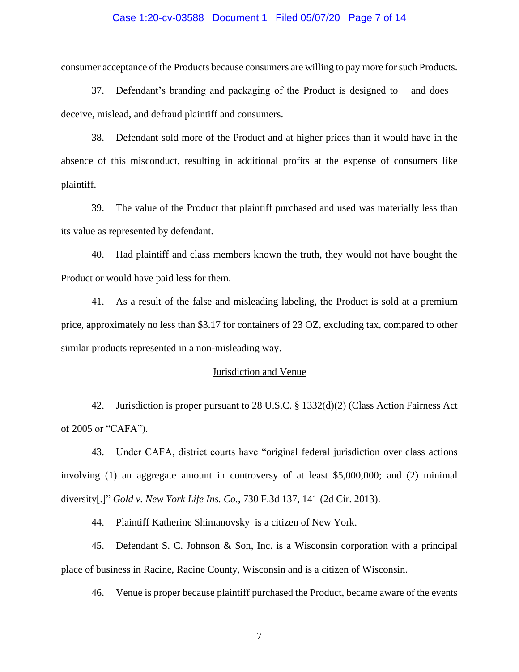### Case 1:20-cv-03588 Document 1 Filed 05/07/20 Page 7 of 14

consumer acceptance of the Products because consumers are willing to pay more for such Products.

37. Defendant's branding and packaging of the Product is designed to – and does – deceive, mislead, and defraud plaintiff and consumers.

38. Defendant sold more of the Product and at higher prices than it would have in the absence of this misconduct, resulting in additional profits at the expense of consumers like plaintiff.

39. The value of the Product that plaintiff purchased and used was materially less than its value as represented by defendant.

40. Had plaintiff and class members known the truth, they would not have bought the Product or would have paid less for them.

41. As a result of the false and misleading labeling, the Product is sold at a premium price, approximately no less than \$3.17 for containers of 23 OZ, excluding tax, compared to other similar products represented in a non-misleading way.

### Jurisdiction and Venue

42. Jurisdiction is proper pursuant to 28 U.S.C. § 1332(d)(2) (Class Action Fairness Act of 2005 or "CAFA").

43. Under CAFA, district courts have "original federal jurisdiction over class actions involving (1) an aggregate amount in controversy of at least \$5,000,000; and (2) minimal diversity[.]" *Gold v. New York Life Ins. Co.*, 730 F.3d 137, 141 (2d Cir. 2013).

44. Plaintiff Katherine Shimanovsky is a citizen of New York.

45. Defendant S. C. Johnson & Son, Inc. is a Wisconsin corporation with a principal place of business in Racine, Racine County, Wisconsin and is a citizen of Wisconsin.

46. Venue is proper because plaintiff purchased the Product, became aware of the events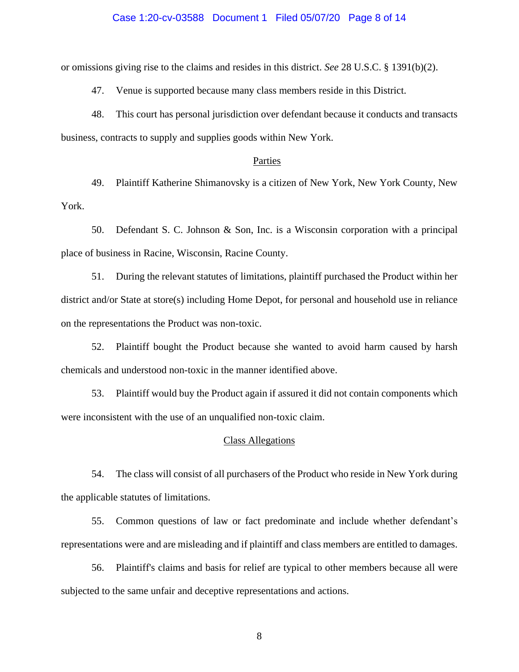### Case 1:20-cv-03588 Document 1 Filed 05/07/20 Page 8 of 14

or omissions giving rise to the claims and resides in this district. *See* 28 U.S.C. § 1391(b)(2).

47. Venue is supported because many class members reside in this District.

48. This court has personal jurisdiction over defendant because it conducts and transacts business, contracts to supply and supplies goods within New York.

## Parties

49. Plaintiff Katherine Shimanovsky is a citizen of New York, New York County, New York.

50. Defendant S. C. Johnson & Son, Inc. is a Wisconsin corporation with a principal place of business in Racine, Wisconsin, Racine County.

51. During the relevant statutes of limitations, plaintiff purchased the Product within her district and/or State at store(s) including Home Depot, for personal and household use in reliance on the representations the Product was non-toxic.

52. Plaintiff bought the Product because she wanted to avoid harm caused by harsh chemicals and understood non-toxic in the manner identified above.

53. Plaintiff would buy the Product again if assured it did not contain components which were inconsistent with the use of an unqualified non-toxic claim.

### Class Allegations

54. The class will consist of all purchasers of the Product who reside in New York during the applicable statutes of limitations.

55. Common questions of law or fact predominate and include whether defendant's representations were and are misleading and if plaintiff and class members are entitled to damages.

56. Plaintiff's claims and basis for relief are typical to other members because all were subjected to the same unfair and deceptive representations and actions.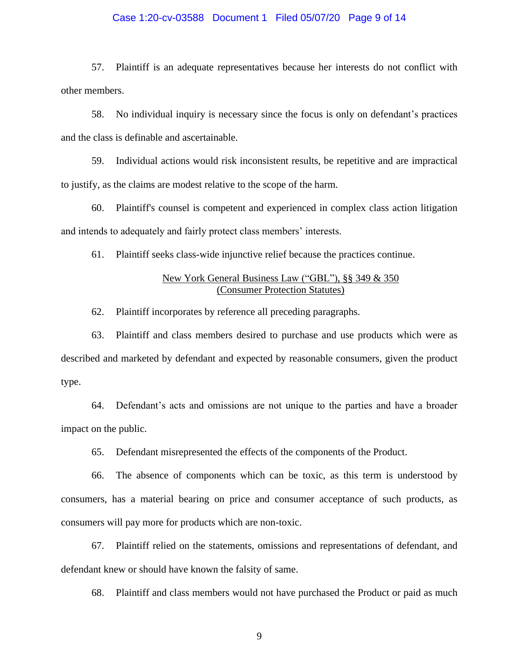### Case 1:20-cv-03588 Document 1 Filed 05/07/20 Page 9 of 14

57. Plaintiff is an adequate representatives because her interests do not conflict with other members.

58. No individual inquiry is necessary since the focus is only on defendant's practices and the class is definable and ascertainable.

59. Individual actions would risk inconsistent results, be repetitive and are impractical to justify, as the claims are modest relative to the scope of the harm.

60. Plaintiff's counsel is competent and experienced in complex class action litigation and intends to adequately and fairly protect class members' interests.

61. Plaintiff seeks class-wide injunctive relief because the practices continue.

# New York General Business Law ("GBL"), §§ 349 & 350 (Consumer Protection Statutes)

62. Plaintiff incorporates by reference all preceding paragraphs.

63. Plaintiff and class members desired to purchase and use products which were as described and marketed by defendant and expected by reasonable consumers, given the product type.

64. Defendant's acts and omissions are not unique to the parties and have a broader impact on the public.

65. Defendant misrepresented the effects of the components of the Product.

66. The absence of components which can be toxic, as this term is understood by consumers, has a material bearing on price and consumer acceptance of such products, as consumers will pay more for products which are non-toxic.

67. Plaintiff relied on the statements, omissions and representations of defendant, and defendant knew or should have known the falsity of same.

68. Plaintiff and class members would not have purchased the Product or paid as much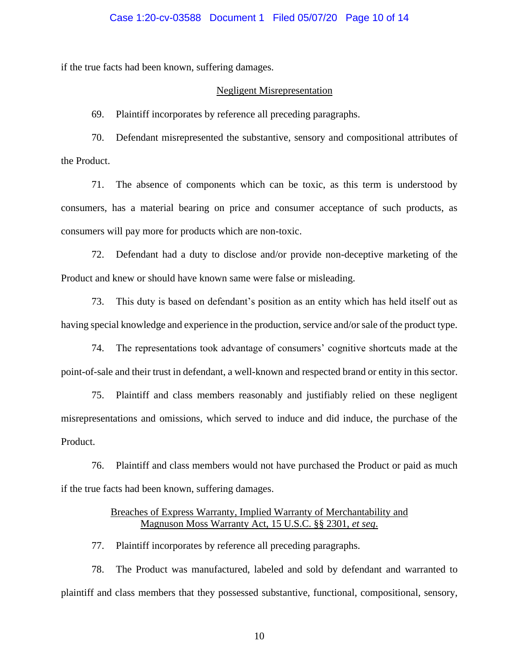if the true facts had been known, suffering damages.

### Negligent Misrepresentation

69. Plaintiff incorporates by reference all preceding paragraphs.

70. Defendant misrepresented the substantive, sensory and compositional attributes of the Product.

71. The absence of components which can be toxic, as this term is understood by consumers, has a material bearing on price and consumer acceptance of such products, as consumers will pay more for products which are non-toxic.

72. Defendant had a duty to disclose and/or provide non-deceptive marketing of the Product and knew or should have known same were false or misleading.

73. This duty is based on defendant's position as an entity which has held itself out as having special knowledge and experience in the production, service and/or sale of the product type.

74. The representations took advantage of consumers' cognitive shortcuts made at the point-of-sale and their trust in defendant, a well-known and respected brand or entity in this sector.

75. Plaintiff and class members reasonably and justifiably relied on these negligent misrepresentations and omissions, which served to induce and did induce, the purchase of the Product.

76. Plaintiff and class members would not have purchased the Product or paid as much if the true facts had been known, suffering damages.

# Breaches of Express Warranty, Implied Warranty of Merchantability and Magnuson Moss Warranty Act, 15 U.S.C. §§ 2301, *et seq*.

77. Plaintiff incorporates by reference all preceding paragraphs.

78. The Product was manufactured, labeled and sold by defendant and warranted to plaintiff and class members that they possessed substantive, functional, compositional, sensory,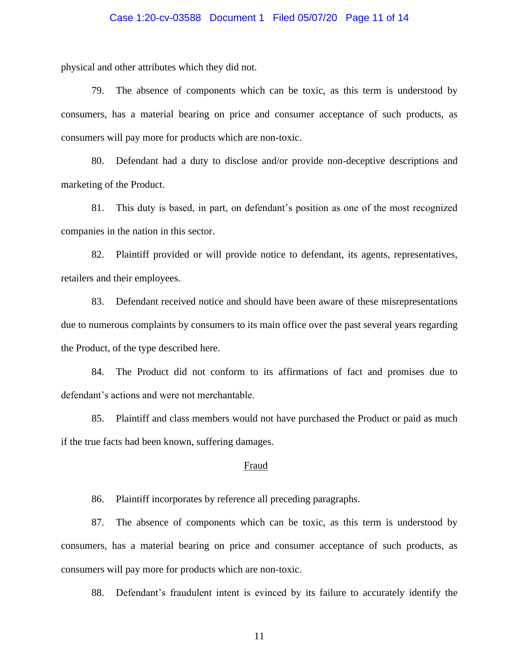### Case 1:20-cv-03588 Document 1 Filed 05/07/20 Page 11 of 14

physical and other attributes which they did not.

79. The absence of components which can be toxic, as this term is understood by consumers, has a material bearing on price and consumer acceptance of such products, as consumers will pay more for products which are non-toxic.

80. Defendant had a duty to disclose and/or provide non-deceptive descriptions and marketing of the Product.

81. This duty is based, in part, on defendant's position as one of the most recognized companies in the nation in this sector.

82. Plaintiff provided or will provide notice to defendant, its agents, representatives, retailers and their employees.

83. Defendant received notice and should have been aware of these misrepresentations due to numerous complaints by consumers to its main office over the past several years regarding the Product, of the type described here.

84. The Product did not conform to its affirmations of fact and promises due to defendant's actions and were not merchantable.

85. Plaintiff and class members would not have purchased the Product or paid as much if the true facts had been known, suffering damages.

#### Fraud

86. Plaintiff incorporates by reference all preceding paragraphs.

87. The absence of components which can be toxic, as this term is understood by consumers, has a material bearing on price and consumer acceptance of such products, as consumers will pay more for products which are non-toxic.

88. Defendant's fraudulent intent is evinced by its failure to accurately identify the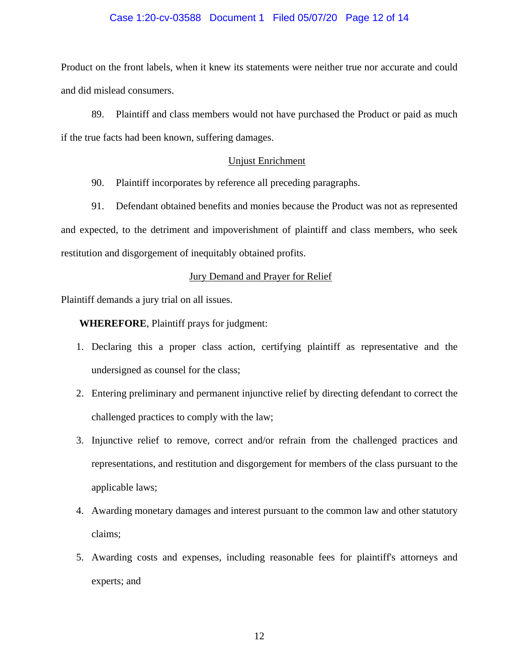### Case 1:20-cv-03588 Document 1 Filed 05/07/20 Page 12 of 14

Product on the front labels, when it knew its statements were neither true nor accurate and could and did mislead consumers.

89. Plaintiff and class members would not have purchased the Product or paid as much if the true facts had been known, suffering damages.

## Unjust Enrichment

90. Plaintiff incorporates by reference all preceding paragraphs.

91. Defendant obtained benefits and monies because the Product was not as represented and expected, to the detriment and impoverishment of plaintiff and class members, who seek restitution and disgorgement of inequitably obtained profits.

# Jury Demand and Prayer for Relief

Plaintiff demands a jury trial on all issues.

**WHEREFORE**, Plaintiff prays for judgment:

- 1. Declaring this a proper class action, certifying plaintiff as representative and the undersigned as counsel for the class;
- 2. Entering preliminary and permanent injunctive relief by directing defendant to correct the challenged practices to comply with the law;
- 3. Injunctive relief to remove, correct and/or refrain from the challenged practices and representations, and restitution and disgorgement for members of the class pursuant to the applicable laws;
- 4. Awarding monetary damages and interest pursuant to the common law and other statutory claims;
- 5. Awarding costs and expenses, including reasonable fees for plaintiff's attorneys and experts; and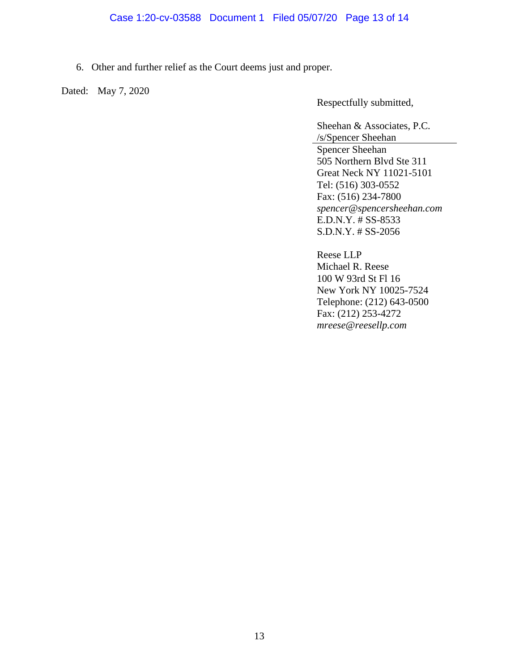# Case 1:20-cv-03588 Document 1 Filed 05/07/20 Page 13 of 14

6. Other and further relief as the Court deems just and proper.

Dated: May 7, 2020

Respectfully submitted,

Sheehan & Associates, P.C. /s/Spencer Sheehan Spencer Sheehan 505 Northern Blvd Ste 311 Great Neck NY 11021-5101 Tel: (516) 303-0552 Fax: (516) 234-7800 *spencer@spencersheehan.com* E.D.N.Y. # SS-8533 S.D.N.Y. # SS-2056

Reese LLP Michael R. Reese 100 W 93rd St Fl 16 New York NY 10025-7524 Telephone: (212) 643-0500 Fax: (212) 253-4272 *mreese@reesellp.com*